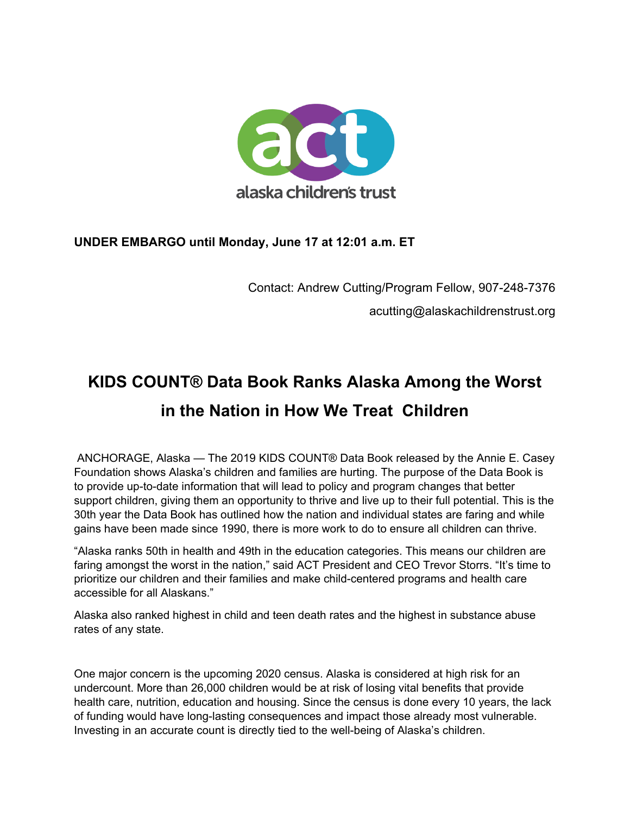

## **UNDER EMBARGO until Monday, June 17 at 12:01 a.m. ET**

Contact: Andrew Cutting/Program Fellow, 907-248-7376

acutting@alaskachildrenstrust.org

# **KIDS COUNT® Data Book Ranks Alaska Among the Worst in the Nation in How We Treat Children**

 ANCHORAGE, Alaska — The 2019 KIDS COUNT® Data Book released by the Annie E. Casey Foundation shows Alaska's children and families are hurting. The purpose of the Data Book is to provide up-to-date information that will lead to policy and program changes that better support children, giving them an opportunity to thrive and live up to their full potential. This is the 30th year the Data Book has outlined how the nation and individual states are faring and while gains have been made since 1990, there is more work to do to ensure all children can thrive.

"Alaska ranks 50th in health and 49th in the education categories. This means our children are faring amongst the worst in the nation," said ACT President and CEO Trevor Storrs. "It's time to prioritize our children and their families and make child-centered programs and health care accessible for all Alaskans."

Alaska also ranked highest in child and teen death rates and the highest in substance abuse rates of any state.

One major concern is the upcoming 2020 census. Alaska is considered at high risk for an undercount. More than 26,000 children would be at risk of losing vital benefits that provide health care, nutrition, education and housing. Since the census is done every 10 years, the lack of funding would have long-lasting consequences and impact those already most vulnerable. Investing in an accurate count is directly tied to the well-being of Alaska's children.